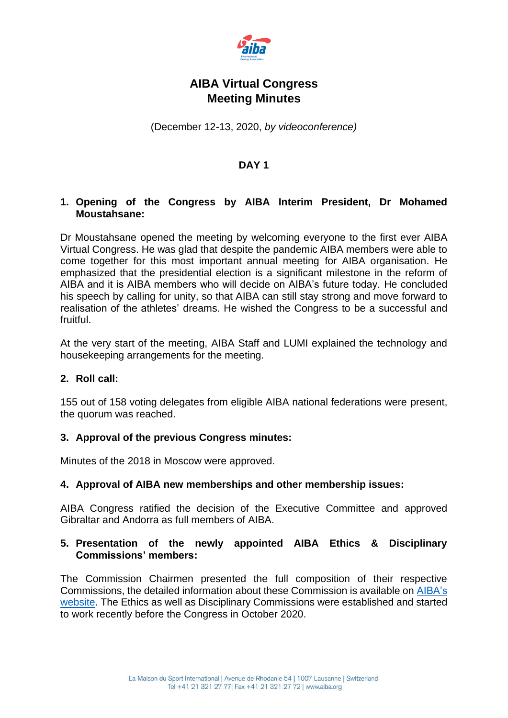

# **AIBA Virtual Congress Meeting Minutes**

(December 12-13, 2020, *by videoconference)*

## **DAY 1**

#### **1. Opening of the Congress by AIBA Interim President, Dr Mohamed Moustahsane:**

Dr Moustahsane opened the meeting by welcoming everyone to the first ever AIBA Virtual Congress. He was glad that despite the pandemic AIBA members were able to come together for this most important annual meeting for AIBA organisation. He emphasized that the presidential election is a significant milestone in the reform of AIBA and it is AIBA members who will decide on AIBA's future today. He concluded his speech by calling for unity, so that AIBA can still stay strong and move forward to realisation of the athletes' dreams. He wished the Congress to be a successful and fruitful.

At the very start of the meeting, AIBA Staff and LUMI explained the technology and housekeeping arrangements for the meeting.

#### **2. Roll call:**

155 out of 158 voting delegates from eligible AIBA national federations were present, the quorum was reached.

#### **3. Approval of the previous Congress minutes:**

Minutes of the 2018 in Moscow were approved.

#### **4. Approval of AIBA new memberships and other membership issues:**

AIBA Congress ratified the decision of the Executive Committee and approved Gibraltar and Andorra as full members of AIBA.

### **5. Presentation of the newly appointed AIBA Ethics & Disciplinary Commissions' members:**

The Commission Chairmen presented the full composition of their respective Commissions, the detailed information about these Commission is available on [AIBA's](https://www.aiba.org/governance/)  [website.](https://www.aiba.org/governance/) The Ethics as well as Disciplinary Commissions were established and started to work recently before the Congress in October 2020.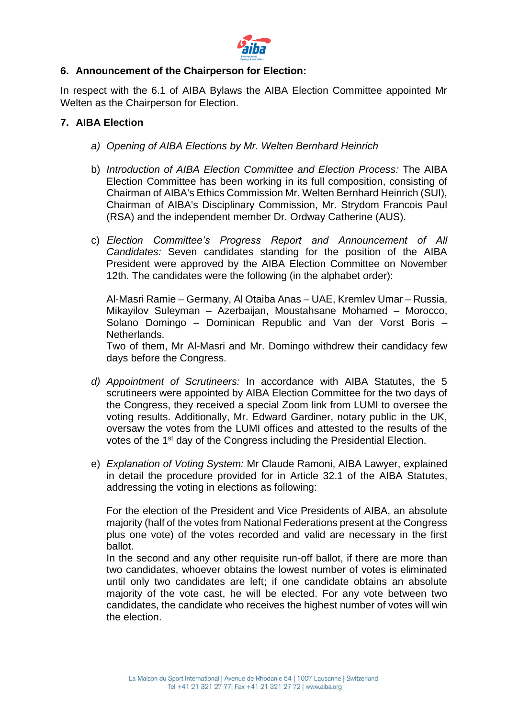

#### **6. Announcement of the Chairperson for Election:**

In respect with the 6.1 of AIBA Bylaws the AIBA Election Committee appointed Mr Welten as the Chairperson for Election.

### **7. AIBA Election**

- *a) Opening of AIBA Elections by Mr. Welten Bernhard Heinrich*
- b) *Introduction of AIBA Election Committee and Election Process:* The AIBA Election Committee has been working in its full composition, consisting of Chairman of AIBA's Ethics Commission Mr. Welten Bernhard Heinrich (SUI), Chairman of AIBA's Disciplinary Commission, Mr. Strydom Francois Paul (RSA) and the independent member Dr. Ordway Catherine (AUS).
- c) *Election Committee's Progress Report and Announcement of All Candidates:* Seven candidates standing for the position of the AIBA President were approved by the AIBA Election Committee on November 12th. The candidates were the following (in the alphabet order):

Al-Masri Ramie – Germany, Al Otaiba Anas – UAE, Kremlev Umar – Russia, Mikayilov Suleyman – Azerbaijan, Moustahsane Mohamed – Morocco, Solano Domingo – Dominican Republic and Van der Vorst Boris – Netherlands.

Two of them, Mr Al-Masri and Mr. Domingo withdrew their candidacy few days before the Congress.

- *d) Appointment of Scrutineers:* In accordance with AIBA Statutes, the 5 scrutineers were appointed by AIBA Election Committee for the two days of the Congress, they received a special Zoom link from LUMI to oversee the voting results. Additionally, Mr. Edward Gardiner, notary public in the UK, oversaw the votes from the LUMI offices and attested to the results of the votes of the 1<sup>st</sup> day of the Congress including the Presidential Election.
- e) *Explanation of Voting System:* Mr Claude Ramoni, AIBA Lawyer, explained in detail the procedure provided for in Article 32.1 of the AIBA Statutes, addressing the voting in elections as following:

For the election of the President and Vice Presidents of AIBA, an absolute majority (half of the votes from National Federations present at the Congress plus one vote) of the votes recorded and valid are necessary in the first ballot.

In the second and any other requisite run-off ballot, if there are more than two candidates, whoever obtains the lowest number of votes is eliminated until only two candidates are left; if one candidate obtains an absolute majority of the vote cast, he will be elected. For any vote between two candidates, the candidate who receives the highest number of votes will win the election.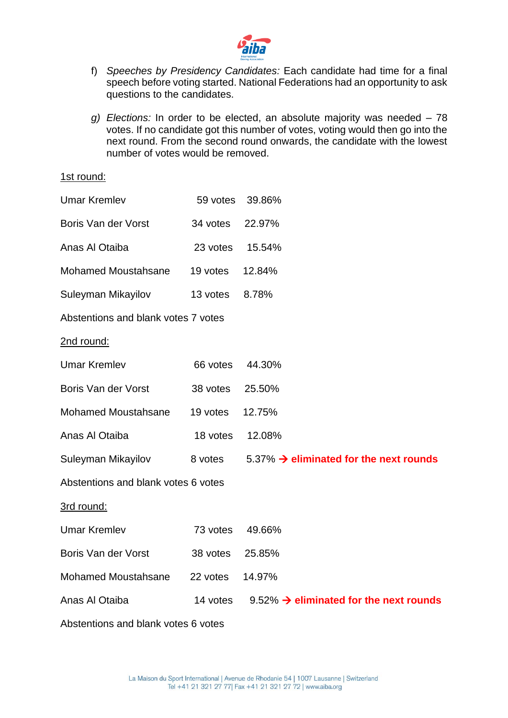

- f) *Speeches by Presidency Candidates:* Each candidate had time for a final speech before voting started. National Federations had an opportunity to ask questions to the candidates.
- *g) Elections:* In order to be elected, an absolute majority was needed 78 votes. If no candidate got this number of votes, voting would then go into the next round. From the second round onwards, the candidate with the lowest number of votes would be removed.

#### 1st round:

| <b>Umar Kremlev</b>                 | 59 votes | 39.86%                                             |  |  |
|-------------------------------------|----------|----------------------------------------------------|--|--|
| Boris Van der Vorst                 | 34 votes | 22.97%                                             |  |  |
| Anas Al Otaiba                      | 23 votes | 15.54%                                             |  |  |
| <b>Mohamed Moustahsane</b>          | 19 votes | 12.84%                                             |  |  |
| Suleyman Mikayilov                  | 13 votes | 8.78%                                              |  |  |
| Abstentions and blank votes 7 votes |          |                                                    |  |  |
| 2nd round:                          |          |                                                    |  |  |
| <b>Umar Kremlev</b>                 | 66 votes | 44.30%                                             |  |  |
| Boris Van der Vorst                 | 38 votes | 25.50%                                             |  |  |
| <b>Mohamed Moustahsane</b>          | 19 votes | 12.75%                                             |  |  |
| Anas Al Otaiba                      | 18 votes | 12.08%                                             |  |  |
| Suleyman Mikayilov                  | 8 votes  | 5.37% $\rightarrow$ eliminated for the next rounds |  |  |
| Abstentions and blank votes 6 votes |          |                                                    |  |  |
| 3rd round:                          |          |                                                    |  |  |
| <b>Umar Kremlev</b>                 | 73 votes | 49.66%                                             |  |  |
| Boris Van der Vorst                 | 38 votes | 25.85%                                             |  |  |
| <b>Mohamed Moustahsane</b>          | 22 votes | 14.97%                                             |  |  |
| Anas Al Otaiba                      | 14 votes | 9.52% $\rightarrow$ eliminated for the next rounds |  |  |
| Abstentions and blank votes 6 votes |          |                                                    |  |  |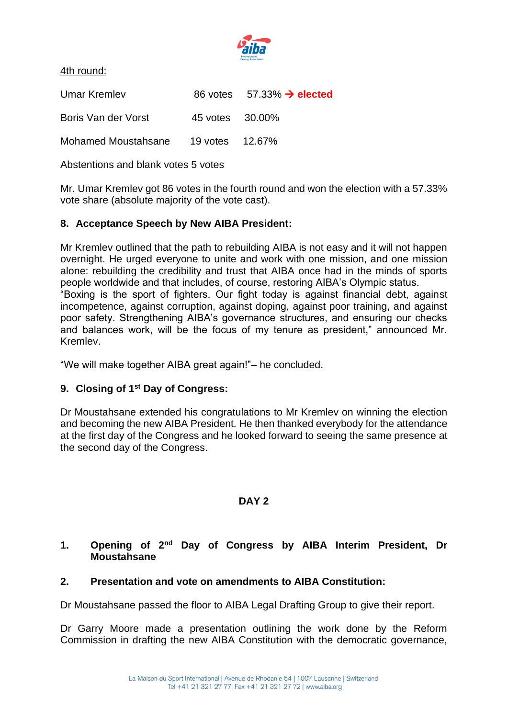

4th round:

| Umar Kremley        |                 | 86 votes $57.33\% \rightarrow$ elected |
|---------------------|-----------------|----------------------------------------|
| Boris Van der Vorst | 45 votes 30.00% |                                        |
| Mohamed Moustahsane | 19 votes 12.67% |                                        |

Abstentions and blank votes 5 votes

Mr. Umar Kremlev got 86 votes in the fourth round and won the election with a 57.33% vote share (absolute majority of the vote cast).

#### **8. Acceptance Speech by New AIBA President:**

Mr Kremlev outlined that the path to rebuilding AIBA is not easy and it will not happen overnight. He urged everyone to unite and work with one mission, and one mission alone: rebuilding the credibility and trust that AIBA once had in the minds of sports people worldwide and that includes, of course, restoring AIBA's Olympic status. "Boxing is the sport of fighters. Our fight today is against financial debt, against incompetence, against corruption, against doping, against poor training, and against poor safety. Strengthening AIBA's governance structures, and ensuring our checks and balances work, will be the focus of my tenure as president," announced Mr. Kremlev.

"We will make together AIBA great again!"– he concluded.

#### **9. Closing of 1st Day of Congress:**

Dr Moustahsane extended his congratulations to Mr Kremlev on winning the election and becoming the new AIBA President. He then thanked everybody for the attendance at the first day of the Congress and he looked forward to seeing the same presence at the second day of the Congress.

#### **DAY 2**

#### **1. Opening of 2nd Day of Congress by AIBA Interim President, Dr Moustahsane**

#### **2. Presentation and vote on amendments to AIBA Constitution:**

Dr Moustahsane passed the floor to AIBA Legal Drafting Group to give their report.

Dr Garry Moore made a presentation outlining the work done by the Reform Commission in drafting the new AIBA Constitution with the democratic governance,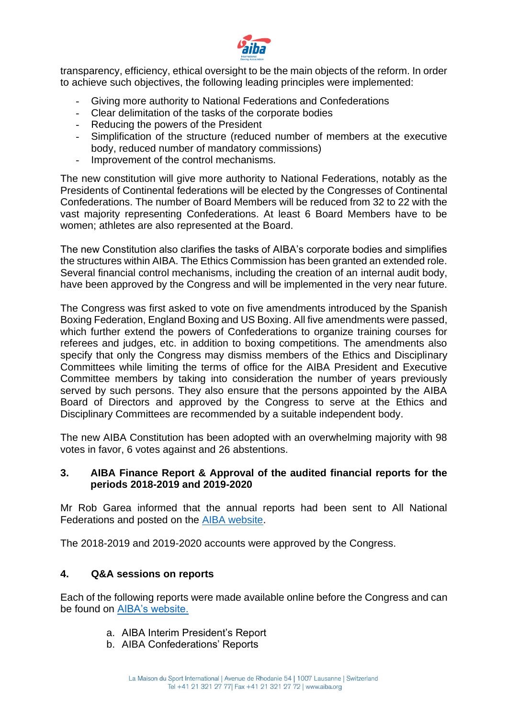

transparency, efficiency, ethical oversight to be the main objects of the reform. In order to achieve such objectives, the following leading principles were implemented:

- Giving more authority to National Federations and Confederations
- Clear delimitation of the tasks of the corporate bodies
- Reducing the powers of the President
- Simplification of the structure (reduced number of members at the executive body, reduced number of mandatory commissions)
- Improvement of the control mechanisms.

The new constitution will give more authority to National Federations, notably as the Presidents of Continental federations will be elected by the Congresses of Continental Confederations. The number of Board Members will be reduced from 32 to 22 with the vast majority representing Confederations. At least 6 Board Members have to be women; athletes are also represented at the Board.

The new Constitution also clarifies the tasks of AIBA's corporate bodies and simplifies the structures within AIBA. The Ethics Commission has been granted an extended role. Several financial control mechanisms, including the creation of an internal audit body, have been approved by the Congress and will be implemented in the very near future.

The Congress was first asked to vote on five amendments introduced by the Spanish Boxing Federation, England Boxing and US Boxing. All five amendments were passed, which further extend the powers of Confederations to organize training courses for referees and judges, etc. in addition to boxing competitions. The amendments also specify that only the Congress may dismiss members of the Ethics and Disciplinary Committees while limiting the terms of office for the AIBA President and Executive Committee members by taking into consideration the number of years previously served by such persons. They also ensure that the persons appointed by the AIBA Board of Directors and approved by the Congress to serve at the Ethics and Disciplinary Committees are recommended by a suitable independent body.

The new AIBA Constitution has been adopted with an overwhelming majority with 98 votes in favor, 6 votes against and 26 abstentions.

#### **3. AIBA Finance Report & Approval of the audited financial reports for the periods 2018-2019 and 2019-2020**

Mr Rob Garea informed that the annual reports had been sent to All National Federations and posted on the [AIBA website.](https://www.aiba.org/annual-reports/)

The 2018-2019 and 2019-2020 accounts were approved by the Congress.

## **4. Q&A sessions on reports**

Each of the following reports were made available online before the Congress and can be found on [AIBA's website.](https://www.aiba.org/aiba-virtual-ordinary-congress-2020/)

- a. AIBA Interim President's Report
- b. AIBA Confederations' Reports